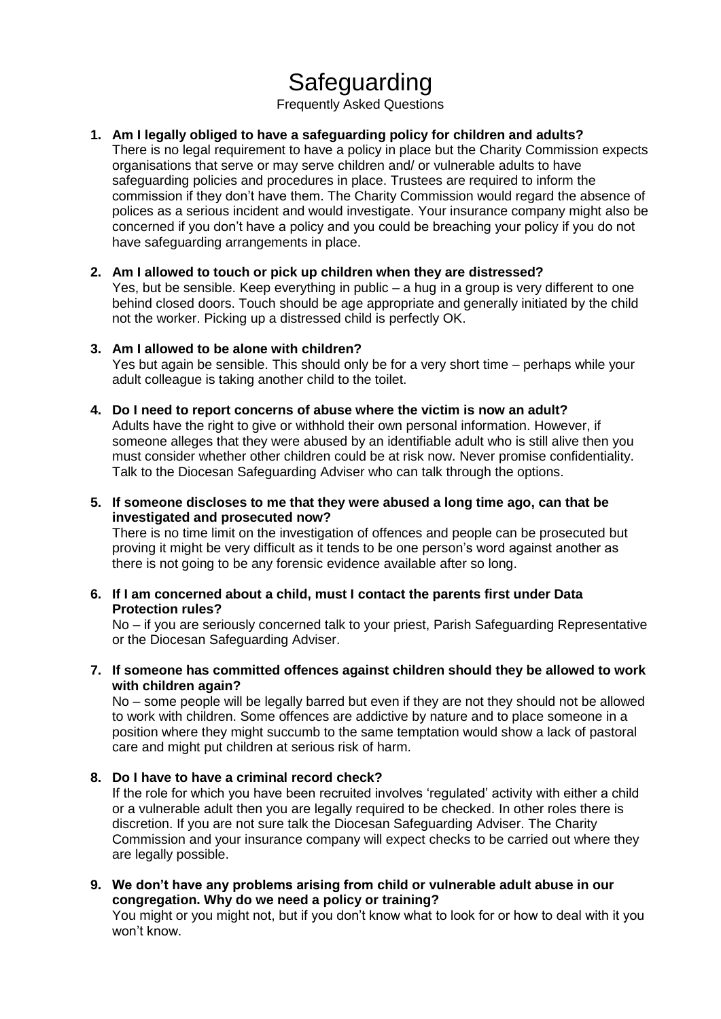## Safeguarding

Frequently Asked Questions

- **1. Am I legally obliged to have a safeguarding policy for children and adults?** There is no legal requirement to have a policy in place but the Charity Commission expects organisations that serve or may serve children and/ or vulnerable adults to have safeguarding policies and procedures in place. Trustees are required to inform the commission if they don't have them. The Charity Commission would regard the absence of polices as a serious incident and would investigate. Your insurance company might also be concerned if you don't have a policy and you could be breaching your policy if you do not have safeguarding arrangements in place.
- **2. Am I allowed to touch or pick up children when they are distressed?** Yes, but be sensible. Keep everything in public – a hug in a group is very different to one behind closed doors. Touch should be age appropriate and generally initiated by the child not the worker. Picking up a distressed child is perfectly OK.
- **3. Am I allowed to be alone with children?** Yes but again be sensible. This should only be for a very short time – perhaps while your adult colleague is taking another child to the toilet.
- **4. Do I need to report concerns of abuse where the victim is now an adult?** Adults have the right to give or withhold their own personal information. However, if someone alleges that they were abused by an identifiable adult who is still alive then you must consider whether other children could be at risk now. Never promise confidentiality. Talk to the Diocesan Safeguarding Adviser who can talk through the options.
- **5. If someone discloses to me that they were abused a long time ago, can that be investigated and prosecuted now?**

There is no time limit on the investigation of offences and people can be prosecuted but proving it might be very difficult as it tends to be one person's word against another as there is not going to be any forensic evidence available after so long.

**6. If I am concerned about a child, must I contact the parents first under Data Protection rules?**

No – if you are seriously concerned talk to your priest, Parish Safeguarding Representative or the Diocesan Safeguarding Adviser.

**7. If someone has committed offences against children should they be allowed to work with children again?**

No – some people will be legally barred but even if they are not they should not be allowed to work with children. Some offences are addictive by nature and to place someone in a position where they might succumb to the same temptation would show a lack of pastoral care and might put children at serious risk of harm.

**8. Do I have to have a criminal record check?**

If the role for which you have been recruited involves 'regulated' activity with either a child or a vulnerable adult then you are legally required to be checked. In other roles there is discretion. If you are not sure talk the Diocesan Safeguarding Adviser. The Charity Commission and your insurance company will expect checks to be carried out where they are legally possible.

**9. We don't have any problems arising from child or vulnerable adult abuse in our congregation. Why do we need a policy or training?**

You might or you might not, but if you don't know what to look for or how to deal with it you won't know.